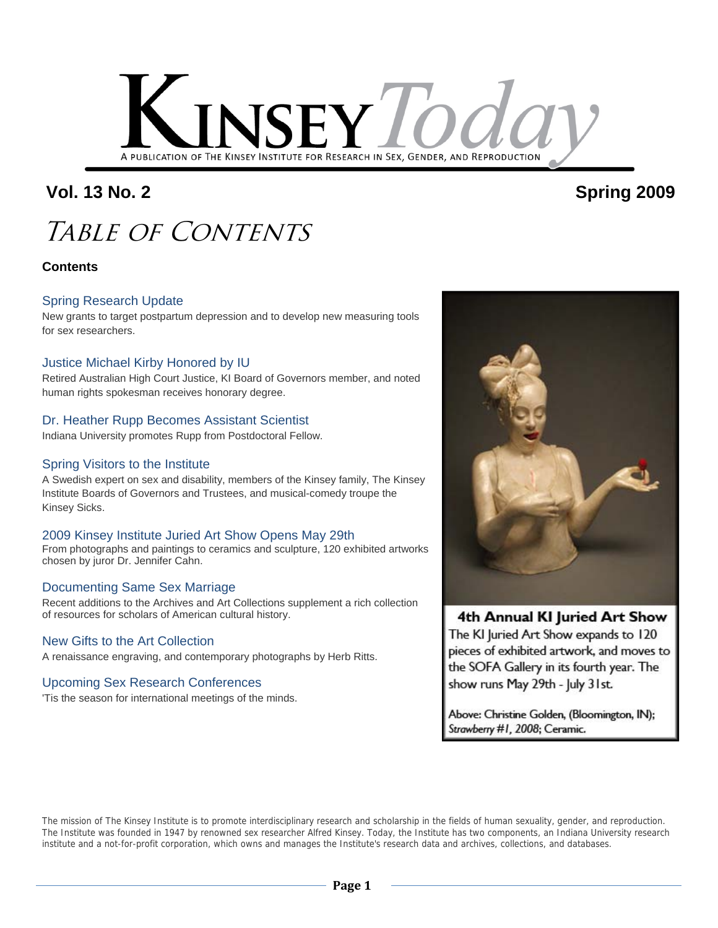

### **Vol. 13 No. 2 Spring 2009**

### TABLE OF CONTENTS

#### **Contents**

#### Spring Research Update

New grants to target postpartum depression and to develop new measuring tools for sex researchers.

#### Justice Michael Kirby Honored by IU

Retired Australian High Court Justice, KI Board of Governors member, and noted human rights spokesman receives honorary degree.

#### Dr. Heather Rupp Becomes Assistant Scientist

Indiana University promotes Rupp from Postdoctoral Fellow.

#### Spring Visitors to the Institute

A Swedish expert on sex and disability, members of the Kinsey family, The Kinsey Institute Boards of Governors and Trustees, and musical-comedy troupe the Kinsey Sicks.

#### 2009 Kinsey Institute Juried Art Show Opens May 29th

From photographs and paintings to ceramics and sculpture, 120 exhibited artworks chosen by juror Dr. Jennifer Cahn.

#### Documenting Same Sex Marriage

Recent additions to the Archives and Art Collections supplement a rich collection of resources for scholars of American cultural history.

#### New Gifts to the Art Collection

A renaissance engraving, and contemporary photographs by Herb Ritts.

#### Upcoming Sex Research Conferences

'Tis the season for international meetings of the minds.



#### 4th Annual KI Juried Art Show

The KI Juried Art Show expands to 120 pieces of exhibited artwork, and moves to the SOFA Gallery in its fourth year. The show runs May 29th - July 31st.

Above: Christine Golden, (Bloomington, IN); Strawberry #1, 2008; Ceramic.

The mission of The Kinsey Institute is to promote interdisciplinary research and scholarship in the fields of human sexuality, gender, and reproduction. The Institute was founded in 1947 by renowned sex researcher Alfred Kinsey. Today, the Institute has two components, an Indiana University research institute and a not-for-profit corporation, which owns and manages the Institute's research data and archives, collections, and databases.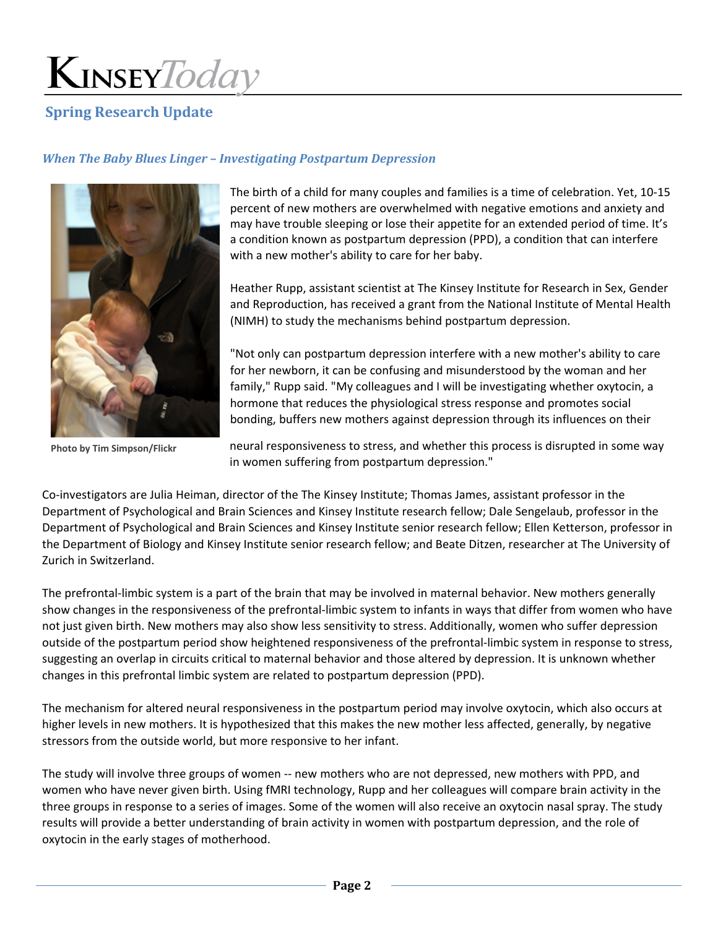#### **Spring Research Update**

#### *When The Baby Blues Linger – Investigating Postpartum Depression*



The birth of a child for many couples and families is a time of celebration. Yet, 10‐15 percent of new mothers are overwhelmed with negative emotions and anxiety and may have trouble sleeping or lose their appetite for an extended period of time. It's a condition known as postpartum depression (PPD), a condition that can interfere with a new mother's ability to care for her baby.

Heather Rupp, assistant scientist at The Kinsey Institute for Research in Sex, Gender and Reproduction, has received a grant from the National Institute of Mental Health (NIMH) to study the mechanisms behind postpartum depression.

"Not only can postpartum depression interfere with a new mother's ability to care for her newborn, it can be confusing and misunderstood by the woman and her family," Rupp said. "My colleagues and I will be investigating whether oxytocin, a hormone that reduces the physiological stress response and promotes social bonding, buffers new mothers against depression through its influences on their

**Photo by Tim Simpson/Flickr**

neural responsiveness to stress, and whether this process is disrupted in some way in women suffering from postpartum depression."

Co-investigators are Julia Heiman, director of the The Kinsey Institute; Thomas James, assistant professor in the Department of Psychological and Brain Sciences and Kinsey Institute research fellow; Dale Sengelaub, professor in the Department of Psychological and Brain Sciences and Kinsey Institute senior research fellow; Ellen Ketterson, professor in the Department of Biology and Kinsey Institute senior research fellow; and Beate Ditzen, researcher at The University of Zurich in Switzerland.

The prefrontal-limbic system is a part of the brain that may be involved in maternal behavior. New mothers generally show changes in the responsiveness of the prefrontal‐limbic system to infants in ways that differ from women who have not just given birth. New mothers may also show less sensitivity to stress. Additionally, women who suffer depression outside of the postpartum period show heightened responsiveness of the prefrontal‐limbic system in response to stress, suggesting an overlap in circuits critical to maternal behavior and those altered by depression. It is unknown whether changes in this prefrontal limbic system are related to postpartum depression (PPD).

The mechanism for altered neural responsiveness in the postpartum period may involve oxytocin, which also occurs at higher levels in new mothers. It is hypothesized that this makes the new mother less affected, generally, by negative stressors from the outside world, but more responsive to her infant.

The study will involve three groups of women -- new mothers who are not depressed, new mothers with PPD, and women who have never given birth. Using fMRI technology, Rupp and her colleagues will compare brain activity in the three groups in response to a series of images. Some of the women will also receive an oxytocin nasal spray. The study results will provide a better understanding of brain activity in women with postpartum depression, and the role of oxytocin in the early stages of motherhood.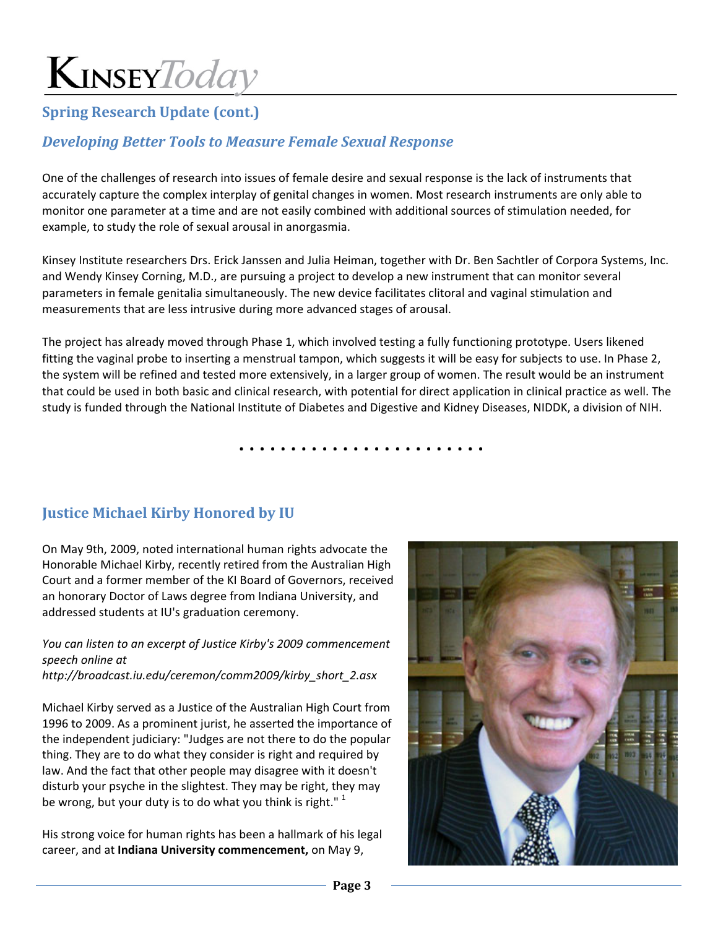#### **Spring Research Update (cont.)**

#### *Developing Better Tools to Measure Female Sexual Response*

One of the challenges of research into issues of female desire and sexual response is the lack of instruments that accurately capture the complex interplay of genital changes in women. Most research instruments are only able to monitor one parameter at a time and are not easily combined with additional sources of stimulation needed, for example, to study the role of sexual arousal in anorgasmia.

Kinsey Institute researchers Drs. Erick Janssen and Julia Heiman, together with Dr. Ben Sachtler of Corpora Systems, Inc. and Wendy Kinsey Corning, M.D., are pursuing a project to develop a new instrument that can monitor several parameters in female genitalia simultaneously. The new device facilitates clitoral and vaginal stimulation and measurements that are less intrusive during more advanced stages of arousal.

The project has already moved through Phase 1, which involved testing a fully functioning prototype. Users likened fitting the vaginal probe to inserting a menstrual tampon, which suggests it will be easy for subjects to use. In Phase 2, the system will be refined and tested more extensively, in a larger group of women. The result would be an instrument that could be used in both basic and clinical research, with potential for direct application in clinical practice as well. The study is funded through the National Institute of Diabetes and Digestive and Kidney Diseases, NIDDK, a division of NIH.

**. . . . . . . . . . . . . . . . . . . . . . . .**

#### **Justice Michael Kirby Honored by IU**

On May 9th, 2009, noted international human rights advocate the Honorable Michael Kirby, recently retired from the Australian High Court and a former member of the KI Board of Governors, received an honorary Doctor of Laws degree from Indiana University, and addressed students at IU's graduation ceremony.

*You can listen to an excerpt of Justice Kirby's 2009 commencement speech online at http://broadcast.iu.edu/ceremon/comm2009/kirby\_short\_2.asx*

Michael Kirby served as a Justice of the Australian High Court from 1996 to 2009. As a prominent jurist, he asserted the importance of the independent judiciary: "Judges are not there to do the popular thing. They are to do what they consider is right and required by law. And the fact that other people may disagree with it doesn't disturb your psyche in the slightest. They may be right, they may be wrong, but your duty is to do what you think is right."  $1$ 

His strong voice for human rights has been a hallmark of his legal career, and at **Indiana University commencement,** on May 9,

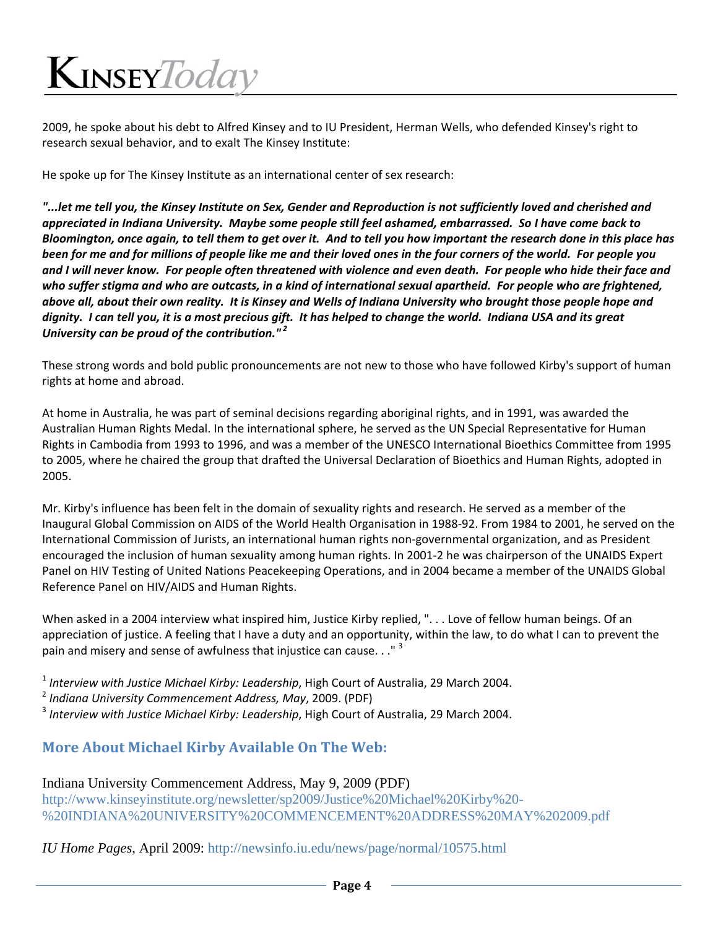2009, he spoke about his debt to Alfred Kinsey and to IU President, Herman Wells, who defended Kinsey's right to research sexual behavior, and to exalt The Kinsey Institute:

He spoke up for The Kinsey Institute as an international center of sex research:

on Sen deproduction is not sufficiently loved and wilder throubord. It wished and cherished and wilder "..." " appreciated in Indiana University. Maybe some people still feel ashamed, embarrassed. So I have come back to Bloomington, once again, to tell them to get over it. And to tell you how important the research done in this place has been for me and for millions of people like me and their loved ones in the four corners of the world. For people you and I will never know. For people often threatened with violence and even death. For people who hide their face and who suffer stigma and who are outcasts, in a kind of international sexual apartheid. For people who are frightened, above all, about their own reality. It is Kinsey and Wells of Indiana University who brought those people hope and dignity. I can tell you, it is a most precious gift. It has helped to change the world. Indiana USA and its great *University can be proud of the contribution." <sup>2</sup>* 

These strong words and bold public pronouncements are not new to those who have followed Kirby's support of human rights at home and abroad.

At home in Australia, he was part of seminal decisions regarding aboriginal rights, and in 1991, was awarded the Australian Human Rights Medal. In the international sphere, he served as the UN Special Representative for Human Rights in Cambodia from 1993 to 1996, and was a member of the UNESCO International Bioethics Committee from 1995 to 2005, where he chaired the group that drafted the Universal Declaration of Bioethics and Human Rights, adopted in 2005.

Mr. Kirby's influence has been felt in the domain of sexuality rights and research. He served as a member of the Inaugural Global Commission on AIDS of the World Health Organisation in 1988‐92. From 1984 to 2001, he served on the International Commission of Jurists, an international human rights non‐governmental organization, and as President encouraged the inclusion of human sexuality among human rights. In 2001‐2 he was chairperson of the UNAIDS Expert Panel on HIV Testing of United Nations Peacekeeping Operations, and in 2004 became a member of the UNAIDS Global Reference Panel on HIV/AIDS and Human Rights.

When asked in a 2004 interview what inspired him, Justice Kirby replied, "... Love of fellow human beings. Of an appreciation of justice. A feeling that I have a duty and an opportunity, within the law, to do what I can to prevent the pain and misery and sense of awfulness that injustice can cause.  $\cdot$ ."<sup>3</sup>

<sup>1</sup> *Interview with Justice Michael Kirby: Leadership*, High Court of Australia, 29 March 2004.

<sup>2</sup> *Indiana University Commencement Address, May*, 2009. (PDF)

<sup>3</sup> *Interview with Justice Michael Kirby: Leadership*, High Court of Australia, 29 March 2004.

#### **More About Michael Kirby Available On The Web:**

#### Indiana University Commencement Address, May 9, 2009 (PDF)

http://www.kinseyinstitute.org/newsletter/sp2009/Justice%20Michael%20Kirby%20- %20INDIANA%20UNIVERSITY%20COMMENCEMENT%20ADDRESS%20MAY%202009.pdf

*IU Home Pages*, April 2009: http://newsinfo.iu.edu/news/page/normal/10575.html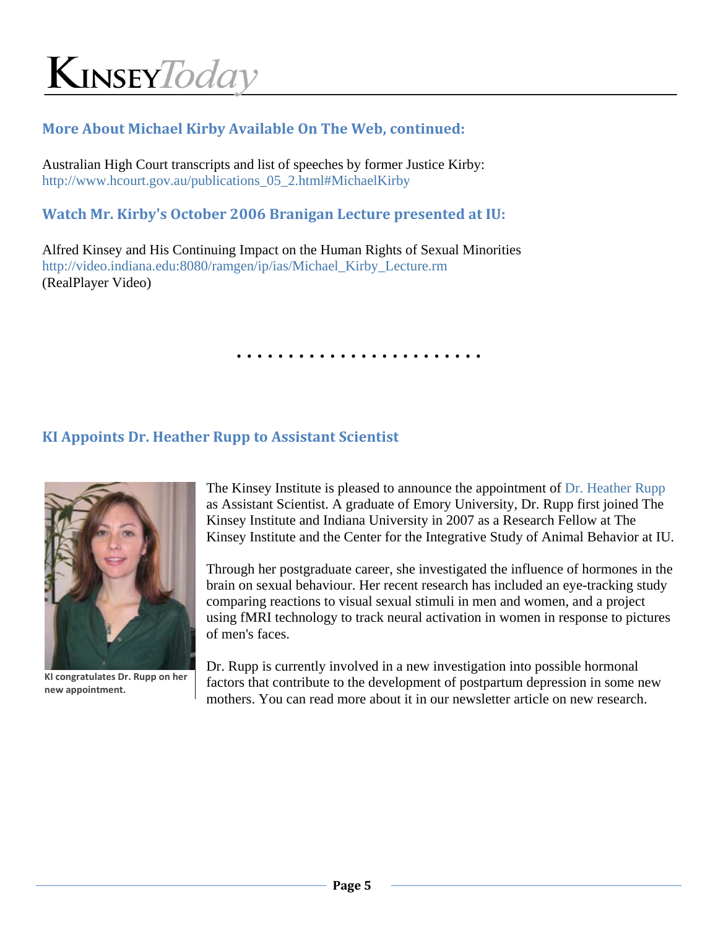#### **More About Michael Kirby Available On The Web, continued:**

Australian High Court transcripts and list of speeches by former Justice Kirby: http://www.hcourt.gov.au/publications 05 2.html#MichaelKirby

#### **Watch Mr. Kirby's October 2006 Branigan Lecture presented at IU:**

Alfred Kinsey and His Continuing Impact on the Human Rights of Sexual Minorities http://video.indiana.edu:8080/ramgen/ip/ias/Michael\_Kirby\_Lecture.rm (RealPlayer Video)

**. . . . . . . . . . . . . . . . . . . . . . . .**

#### **KI Appoints Dr. Heather Rupp to Assistant Scientist**



**KI congratulates Dr. Rupp on her new appointment.**

The Kinsey Institute is pleased to announce the appointment of Dr. Heather Rupp as Assistant Scientist. A graduate of Emory University, Dr. Rupp first joined The Kinsey Institute and Indiana University in 2007 as a Research Fellow at The Kinsey Institute and the Center for the Integrative Study of Animal Behavior at IU.

Through her postgraduate career, she investigated the influence of hormones in the brain on sexual behaviour. Her recent research has included an eye-tracking study comparing reactions to visual sexual stimuli in men and women, and a project using fMRI technology to track neural activation in women in response to pictures of men's faces.

Dr. Rupp is currently involved in a new investigation into possible hormonal factors that contribute to the development of postpartum depression in some new mothers. You can read more about it in our newsletter article on new research.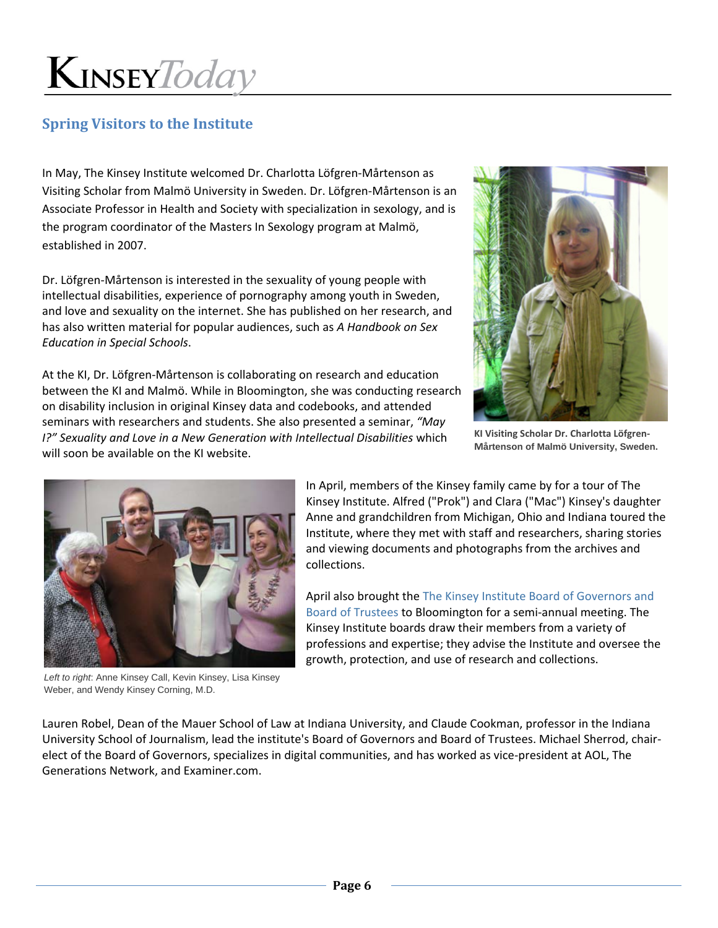#### **Spring Visitors to the Institute**

In May, The Kinsey Institute welcomed Dr. Charlotta Löfgren‐Mårtenson as Visiting Scholar from Malmö University in Sweden. Dr. Löfgren‐Mårtenson is an Associate Professor in Health and Society with specialization in sexology, and is the program coordinator of the Masters In Sexology program at Malmö, established in 2007.

Dr. Löfgren‐Mårtenson is interested in the sexuality of young people with intellectual disabilities, experience of pornography among youth in Sweden, and love and sexuality on the internet. She has published on her research, and has also written material for popular audiences, such as *A Handbook on Sex Education in Special Schools*.

At the KI, Dr. Löfgren‐Mårtenson is collaborating on research and education between the KI and Malmö. While in Bloomington, she was conducting research on disability inclusion in original Kinsey data and codebooks, and attended seminars with researchers and students. She also presented a seminar, *"May I?" Sexuality and Love in a New Generation with Intellectual Disabilities* which will soon be available on the KI website.



**KI Visiting Scholar Dr. Charlotta Löfgren‐ Mårtenson of Malmö University, Sweden.** 



*Left to right*: Anne Kinsey Call, Kevin Kinsey, Lisa Kinsey Weber, and Wendy Kinsey Corning, M.D.

In April, members of the Kinsey family came by for a tour of The Kinsey Institute. Alfred ("Prok") and Clara ("Mac") Kinsey's daughter Anne and grandchildren from Michigan, Ohio and Indiana toured the Institute, where they met with staff and researchers, sharing stories and viewing documents and photographs from the archives and collections.

April also brought the The Kinsey Institute Board of Governors and Board of Trustees to Bloomington for a semi‐annual meeting. The Kinsey Institute boards draw their members from a variety of professions and expertise; they advise the Institute and oversee the growth, protection, and use of research and collections.

Lauren Robel, Dean of the Mauer School of Law at Indiana University, and Claude Cookman, professor in the Indiana University School of Journalism, lead the institute's Board of Governors and Board of Trustees. Michael Sherrod, chair‐ elect of the Board of Governors, specializes in digital communities, and has worked as vice-president at AOL, The Generations Network, and Examiner.com.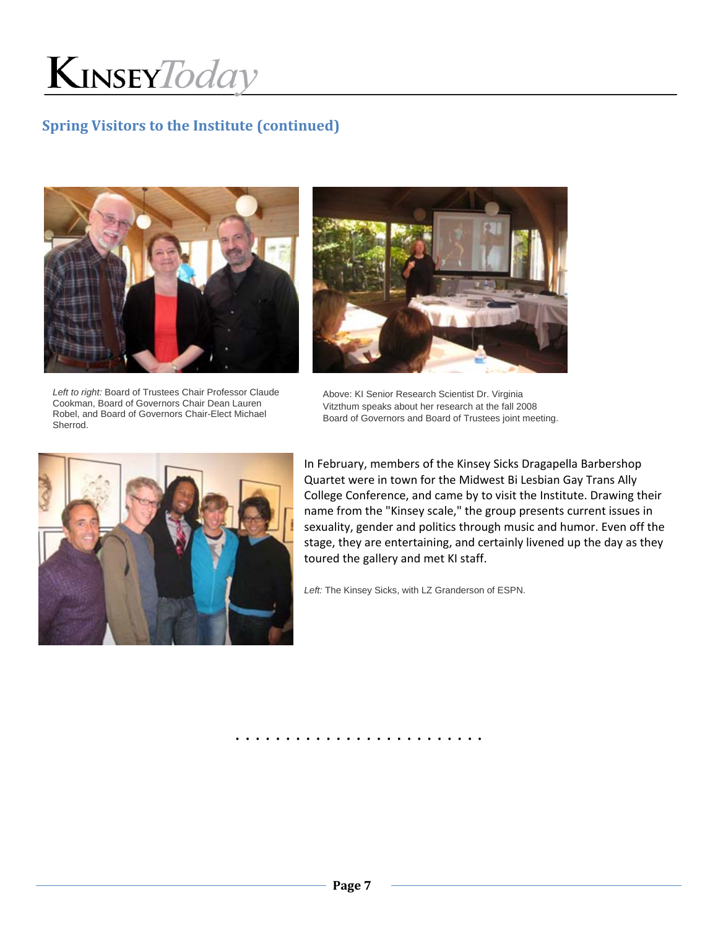

#### **Spring Visitors to the Institute (continued)**



*Left to right:* Board of Trustees Chair Professor Claude Cookman, Board of Governors Chair Dean Lauren Robel, and Board of Governors Chair-Elect Michael Sherrod.



Above: KI Senior Research Scientist Dr. Virginia Vitzthum speaks about her research at the fall 2008 Board of Governors and Board of Trustees joint meeting.



In February, members of the Kinsey Sicks Dragapella Barbershop Quartet were in town for the Midwest Bi Lesbian Gay Trans Ally College Conference, and came by to visit the Institute. Drawing their name from the "Kinsey scale," the group presents current issues in sexuality, gender and politics through music and humor. Even off the stage, they are entertaining, and certainly livened up the day as they toured the gallery and met KI staff.

*Left:* The Kinsey Sicks, with LZ Granderson of ESPN.

. . . . . . . . . . . . . . . . . . . . . . . . .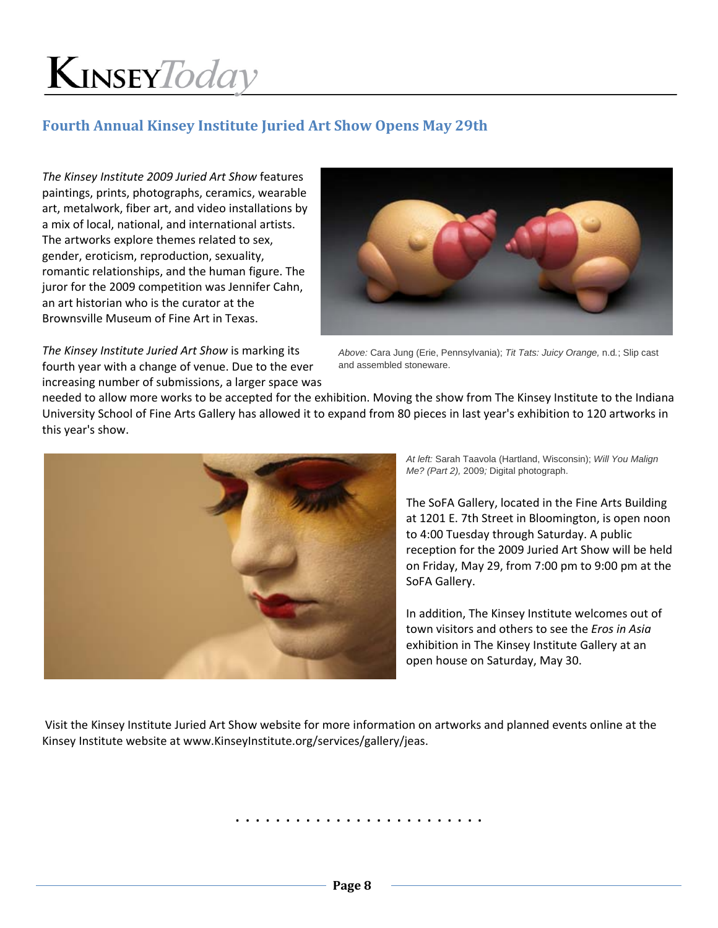#### **Fourth Annual Kinsey Institute Juried Art Show Opens May 29th**

*The Kinsey Institute 2009 Juried Art Show* features paintings, prints, photographs, ceramics, wearable art, metalwork, fiber art, and video installations by a mix of local, national, and international artists. The artworks explore themes related to sex, gender, eroticism, reproduction, sexuality, romantic relationships, and the human figure. The juror for the 2009 competition was Jennifer Cahn, an art historian who is the curator at the Brownsville Museum of Fine Art in Texas.



*The Kinsey Institute Juried Art Show* is marking its fourth year with a change of venue. Due to the ever increasing number of submissions, a larger space was

*Above:* Cara Jung (Erie, Pennsylvania); *Tit Tats: Juicy Orange,* n.d*.*; Slip cast and assembled stoneware.

needed to allow more works to be accepted for the exhibition. Moving the show from The Kinsey Institute to the Indiana University School of Fine Arts Gallery has allowed it to expand from 80 pieces in last year's exhibition to 120 artworks in this year's show.



*At left:* Sarah Taavola (Hartland, Wisconsin); *Will You Malign Me? (Part 2),* 2009*;* Digital photograph.

The SoFA Gallery, located in the Fine Arts Building at 1201 E. 7th Street in Bloomington, is open noon to 4:00 Tuesday through Saturday. A public reception for the 2009 Juried Art Show will be held on Friday, May 29, from 7:00 pm to 9:00 pm at the SoFA Gallery.

In addition, The Kinsey Institute welcomes out of town visitors and others to see the *Eros in Asia* exhibition in The Kinsey Institute Gallery at an open house on Saturday, May 30.

Visit the Kinsey Institute Juried Art Show website for more information on artworks and planned events online at the Kinsey Institute website at www.KinseyInstitute.org/services/gallery/jeas.

. . . . . . . . . . . . . . . . . . . . . . . . .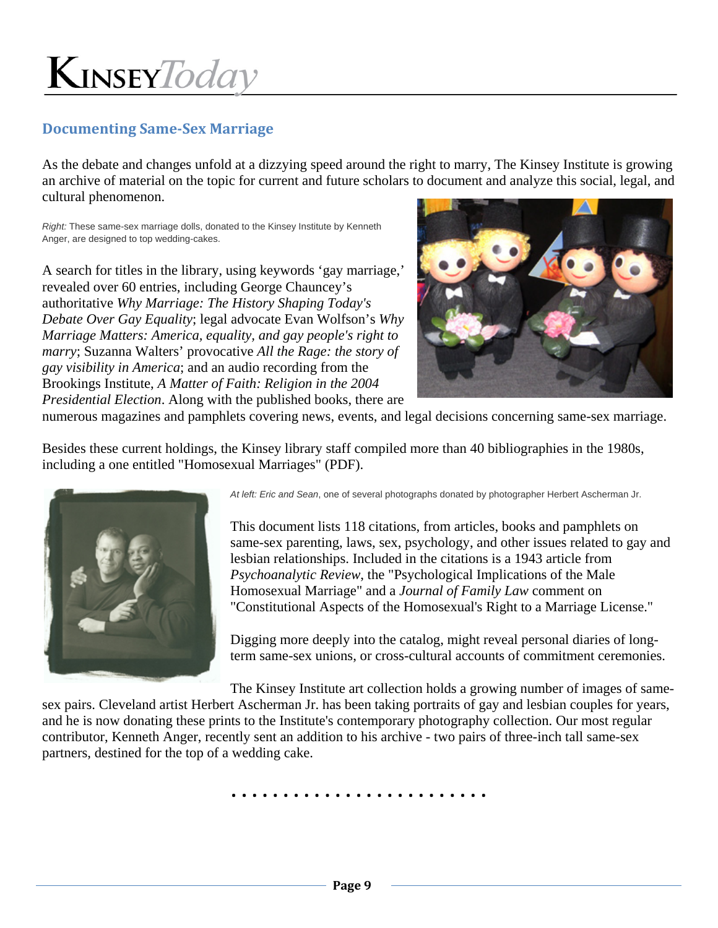#### **Documenting Same‐Sex Marriage**

As the debate and changes unfold at a dizzying speed around the right to marry, The Kinsey Institute is growing an archive of material on the topic for current and future scholars to document and analyze this social, legal, and cultural phenomenon.

*Right:* These same-sex marriage dolls, donated to the Kinsey Institute by Kenneth Anger, are designed to top wedding-cakes.

A search for titles in the library, using keywords 'gay marriage,' revealed over 60 entries, including George Chauncey's authoritative *Why Marriage: The History Shaping Today's Debate Over Gay Equality*; legal advocate Evan Wolfson's *Why Marriage Matters: America, equality, and gay people's right to marry*; Suzanna Walters' provocative *All the Rage: the story of gay visibility in America*; and an audio recording from the Brookings Institute, *A Matter of Faith: Religion in the 2004 Presidential Election*. Along with the published books, there are



numerous magazines and pamphlets covering news, events, and legal decisions concerning same-sex marriage.

Besides these current holdings, the Kinsey library staff compiled more than 40 bibliographies in the 1980s, including a one entitled "Homosexual Marriages" (PDF).



*At left: Eric and Sean*, one of several photographs donated by photographer Herbert Ascherman Jr.

This document lists 118 citations, from articles, books and pamphlets on same-sex parenting, laws, sex, psychology, and other issues related to gay and lesbian relationships. Included in the citations is a 1943 article from *Psychoanalytic Review*, the "Psychological Implications of the Male Homosexual Marriage" and a *Journal of Family Law* comment on "Constitutional Aspects of the Homosexual's Right to a Marriage License."

Digging more deeply into the catalog, might reveal personal diaries of longterm same-sex unions, or cross-cultural accounts of commitment ceremonies.

The Kinsey Institute art collection holds a growing number of images of samesex pairs. Cleveland artist Herbert Ascherman Jr. has been taking portraits of gay and lesbian couples for years, and he is now donating these prints to the Institute's contemporary photography collection. Our most regular contributor, Kenneth Anger, recently sent an addition to his archive - two pairs of three-inch tall same-sex partners, destined for the top of a wedding cake.

**. . . . . . . . . . . . . . . . . . . . . . . . .**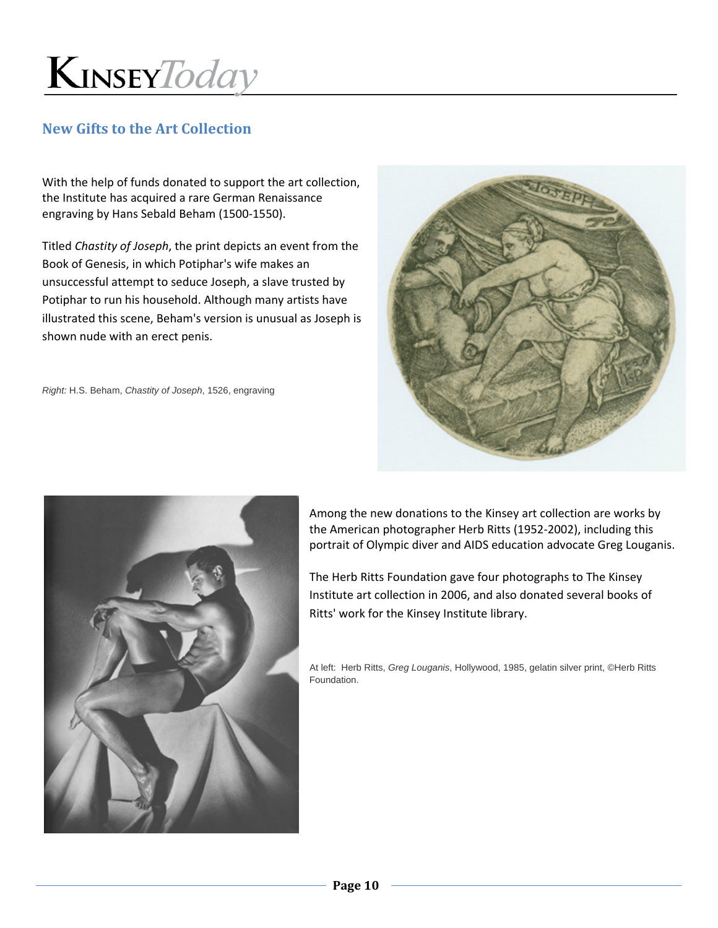

#### **New Gifts to the Art Collection**

With the help of funds donated to support the art collection, the Institute has acquired a rare German Renaissance engraving by Hans Sebald Beham (1500‐1550).

Titled *Chastity of Joseph*, the print depicts an event from the Book of Genesis, in which Potiphar's wife makes an unsuccessful attempt to seduce Joseph, a slave trusted by Potiphar to run his household. Although many artists have illustrated this scene, Beham's version is unusual as Joseph is shown nude with an erect penis.

*Right:* H.S. Beham, *Chastity of Joseph*, 1526, engraving





Among the new donations to the Kinsey art collection are works by the American photographer Herb Ritts (1952‐2002), including this portrait of Olympic diver and AIDS education advocate Greg Louganis.

The Herb Ritts Foundation gave four photographs to The Kinsey Institute art collection in 2006, and also donated several books of Ritts' work for the Kinsey Institute library.

At left: Herb Ritts, *Greg Louganis*, Hollywood, 1985, gelatin silver print, ©Herb Ritts Foundation.